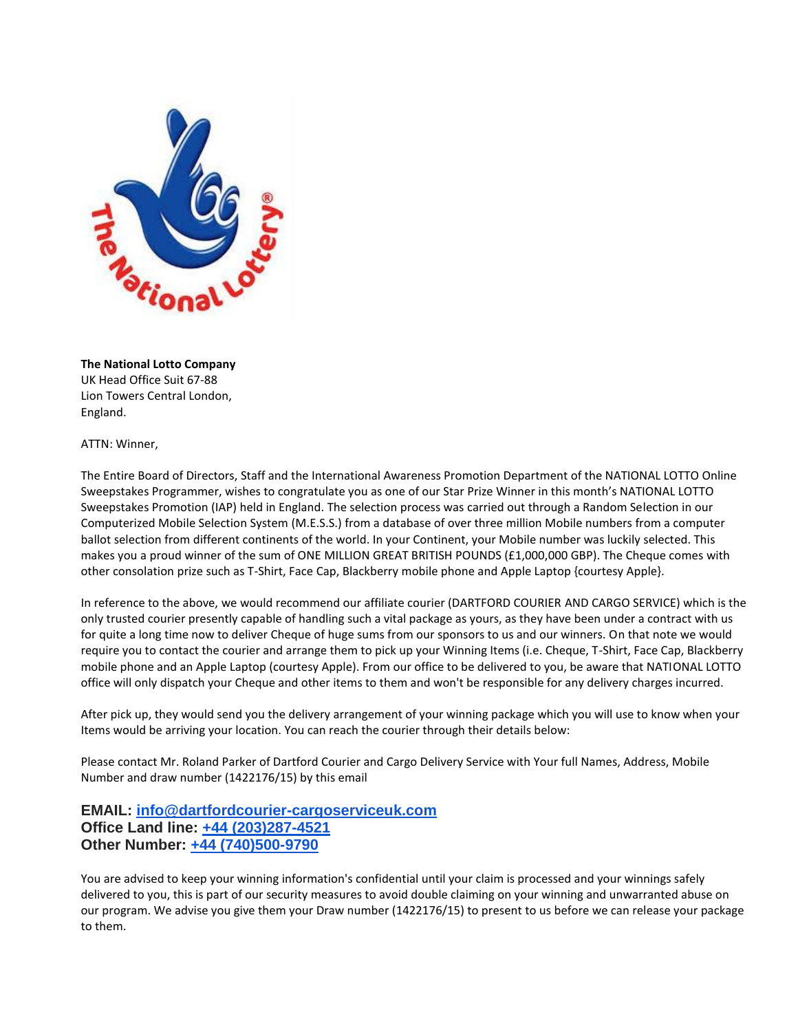

**The National Lotto Company**  UK Head Office Suit 67-88 Lion Towers Central London, England.

ATTN: Winner,

The Entire Board of Directors, Staff and the International Awareness Promotion Department of the NATIONAL LOTTO Online Sweepstakes Programmer, wishes to congratulate you as one of our Star Prize Winner in this month's NATIONAL LOTTO Sweepstakes Promotion (IAP) held in England. The selection process was carried out through a Random Selection in our Computerized Mobile Selection System (M.E.S.S.) from a database of over three million Mobile numbers from a computer ballot selection from different continents of the world. In your Continent, your Mobile number was luckily selected. This makes you a proud winner of the sum of ONE MILLION GREAT BRITISH POUNDS (£1,000,000 GBP). The Cheque comes with other consolation prize such as T-Shirt, Face Cap, Blackberry mobile phone and Apple Laptop {courtesy Apple}.

In reference to the above, we would recommend our affiliate courier (DARTFORD COURIER AND CARGO SERVICE) which is the only trusted courier presently capable of handling such a vital package as yours, as they have been under a contract with us for quite a long time now to deliver Cheque of huge sums from our sponsors to us and our winners. On that note we would require you to contact the courier and arrange them to pick up your Winning Items (i.e. Cheque, T-Shirt, Face Cap, Blackberry mobile phone and an Apple Laptop (courtesy Apple). From our office to be delivered to you, be aware that NATIONAL LOTTO office will only dispatch your Cheque and other items to them and won't be responsible for any delivery charges incurred.

After pick up, they would send you the delivery arrangement of your winning package which you will use to know when your Items would be arriving your location. You can reach the courier through their details below:

Please contact Mr. Roland Parker of Dartford Courier and Cargo Delivery Service with Your full Names, Address, Mobile Number and draw number (1422176/15) by this email

## **EMAIL: [info@dartfordcourier-cargoserviceuk.com](mailto:info@dartfordcourier-cargoserviceuk.com) Office Land line: [+44 \(203\)287-4521](tel:%2B44%20%28203%29287-4521)  Other Number: [+44 \(740\)500-9790](tel:%2B44%20%28740%29500-9790)**

You are advised to keep your winning information's confidential until your claim is processed and your winnings safely delivered to you, this is part of our security measures to avoid double claiming on your winning and unwarranted abuse on our program. We advise you give them your Draw number (1422176/15) to present to us before we can release your package to them.